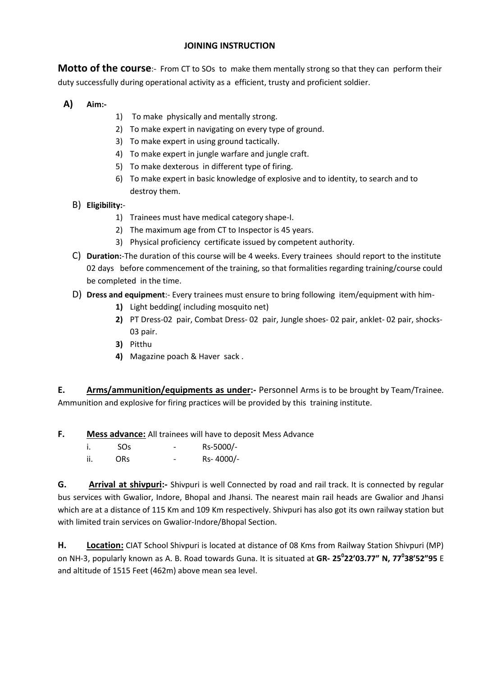## **JOINING INSTRUCTION**

**Motto of the course:**- From CT to SOs to make them mentally strong so that they can perform their duty successfully during operational activity as a efficient, trusty and proficient soldier.

- **A) Aim:-**
- 1) To make physically and mentally strong.
- 2) To make expert in navigating on every type of ground.
- 3) To make expert in using ground tactically.
- 4) To make expert in jungle warfare and jungle craft.
- 5) To make dexterous in different type of firing.
- 6) To make expert in basic knowledge of explosive and to identity, to search and to destroy them.
- B) **Eligibility:**
	- 1) Trainees must have medical category shape-I.
	- 2) The maximum age from CT to Inspector is 45 years.
	- 3) Physical proficiency certificate issued by competent authority.
- C) **Duration:**-The duration of this course will be 4 weeks. Every trainees should report to the institute 02 days before commencement of the training, so that formalities regarding training/course could be completed in the time.
- D) **Dress and equipment**:- Every trainees must ensure to bring following item/equipment with him-
	- **1)** Light bedding( including mosquito net)
	- **2)** PT Dress-02 pair, Combat Dress- 02 pair, Jungle shoes- 02 pair, anklet- 02 pair, shocks-03 pair.
	- **3)** Pitthu
	- **4)** Magazine poach & Haver sack .

**E. Arms/ammunition/equipments as under:-** Personnel Arms is to be brought by Team/Trainee. Ammunition and explosive for firing practices will be provided by this training institute.

- **F. Mess advance:** All trainees will have to deposit Mess Advance
	- i. SOs Rs-5000/-
	- ii. ORs Rs- 4000/-

**G. Arrival at shivpuri:-** Shivpuri is well Connected by road and rail track. It is connected by regular bus services with Gwalior, Indore, Bhopal and Jhansi. The nearest main rail heads are Gwalior and Jhansi which are at a distance of 115 Km and 109 Km respectively. Shivpuri has also got its own railway station but with limited train services on Gwalior-Indore/Bhopal Section.

**H. Location:** CIAT School Shivpuri is located at distance of 08 Kms from Railway Station Shivpuri (MP) on NH-3, popularly known as A. B. Road towards Guna. It is situated at **GR- 25<sup>0</sup> 22'03.77" N, 77<sup>0</sup> 38'52"95** E and altitude of 1515 Feet (462m) above mean sea level.